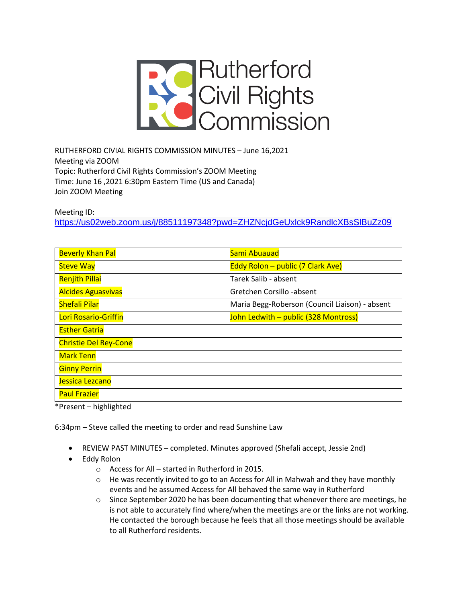

RUTHERFORD CIVIAL RIGHTS COMMISSION MINUTES – June 16,2021 Meeting via ZOOM Topic: Rutherford Civil Rights Commission's ZOOM Meeting Time: June 16 ,2021 6:30pm Eastern Time (US and Canada) Join ZOOM Meeting

Meeting ID:

<https://us02web.zoom.us/j/88511197348?pwd=ZHZNcjdGeUxlck9RandlcXBsSlBuZz09>

| <b>Beverly Khan Pal</b>      | Sami Abuauad                                   |
|------------------------------|------------------------------------------------|
| <b>Steve Way</b>             | Eddy Rolon - public (7 Clark Ave)              |
| <b>Renjith Pillai</b>        | Tarek Salib - absent                           |
| <b>Alcides Aguasvivas</b>    | Gretchen Corsillo -absent                      |
| <b>Shefali Pilar</b>         | Maria Begg-Roberson (Council Liaison) - absent |
| Lori Rosario-Griffin         | John Ledwith - public (328 Montross)           |
| <b>Esther Gatria</b>         |                                                |
| <b>Christie Del Rey-Cone</b> |                                                |
| <b>Mark Tenn</b>             |                                                |
| <b>Ginny Perrin</b>          |                                                |
| Jessica Lezcano              |                                                |
| <b>Paul Frazier</b>          |                                                |

\*Present – highlighted

6:34pm – Steve called the meeting to order and read Sunshine Law

- REVIEW PAST MINUTES completed. Minutes approved (Shefali accept, Jessie 2nd)
- Eddy Rolon
	- o Access for All started in Rutherford in 2015.
	- $\circ$  He was recently invited to go to an Access for All in Mahwah and they have monthly events and he assumed Access for All behaved the same way in Rutherford
	- $\circ$  Since September 2020 he has been documenting that whenever there are meetings, he is not able to accurately find where/when the meetings are or the links are not working. He contacted the borough because he feels that all those meetings should be available to all Rutherford residents.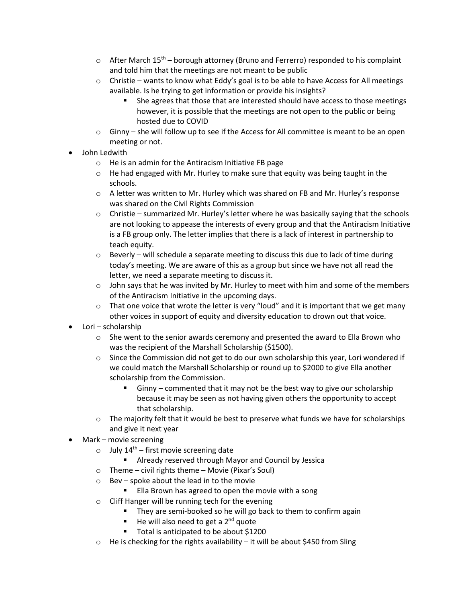- $\circ$  After March 15<sup>th</sup> borough attorney (Bruno and Ferrerro) responded to his complaint and told him that the meetings are not meant to be public
- $\circ$  Christie wants to know what Eddy's goal is to be able to have Access for All meetings available. Is he trying to get information or provide his insights?
	- She agrees that those that are interested should have access to those meetings however, it is possible that the meetings are not open to the public or being hosted due to COVID
- $\circ$  Ginny she will follow up to see if the Access for All committee is meant to be an open meeting or not.
- John Ledwith
	- o He is an admin for the Antiracism Initiative FB page
	- $\circ$  He had engaged with Mr. Hurley to make sure that equity was being taught in the schools.
	- $\circ$  A letter was written to Mr. Hurley which was shared on FB and Mr. Hurley's response was shared on the Civil Rights Commission
	- $\circ$  Christie summarized Mr. Hurley's letter where he was basically saying that the schools are not looking to appease the interests of every group and that the Antiracism Initiative is a FB group only. The letter implies that there is a lack of interest in partnership to teach equity.
	- $\circ$  Beverly will schedule a separate meeting to discuss this due to lack of time during today's meeting. We are aware of this as a group but since we have not all read the letter, we need a separate meeting to discuss it.
	- $\circ$  John says that he was invited by Mr. Hurley to meet with him and some of the members of the Antiracism Initiative in the upcoming days.
	- $\circ$  That one voice that wrote the letter is very "loud" and it is important that we get many other voices in support of equity and diversity education to drown out that voice.
- Lori scholarship
	- $\circ$  She went to the senior awards ceremony and presented the award to Ella Brown who was the recipient of the Marshall Scholarship (\$1500).
	- $\circ$  Since the Commission did not get to do our own scholarship this year, Lori wondered if we could match the Marshall Scholarship or round up to \$2000 to give Ella another scholarship from the Commission.
		- $G$ inny commented that it may not be the best way to give our scholarship because it may be seen as not having given others the opportunity to accept that scholarship.
	- $\circ$  The majority felt that it would be best to preserve what funds we have for scholarships and give it next year
- Mark movie screening
	- o July  $14<sup>th</sup>$  first movie screening date
		- Already reserved through Mayor and Council by Jessica
	- o Theme civil rights theme Movie (Pixar's Soul)
	- o Bev spoke about the lead in to the movie
		- Ella Brown has agreed to open the movie with a song
	- o Cliff Hanger will be running tech for the evening
		- They are semi-booked so he will go back to them to confirm again
		- He will also need to get a 2<sup>nd</sup> quote
		- Total is anticipated to be about \$1200
	- $\circ$  He is checking for the rights availability it will be about \$450 from Sling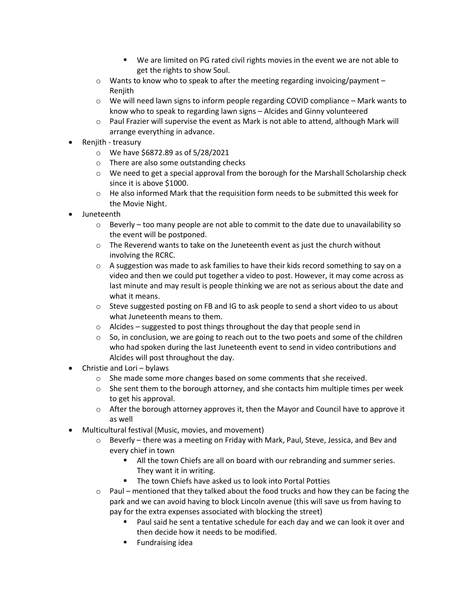- We are limited on PG rated civil rights movies in the event we are not able to get the rights to show Soul.
- $\circ$  Wants to know who to speak to after the meeting regarding invoicing/payment Renjith
- $\circ$  We will need lawn signs to inform people regarding COVID compliance Mark wants to know who to speak to regarding lawn signs – Alcides and Ginny volunteered
- $\circ$  Paul Frazier will supervise the event as Mark is not able to attend, although Mark will arrange everything in advance.
- Renjith treasury
	- o We have \$6872.89 as of 5/28/2021
	- o There are also some outstanding checks
	- $\circ$  We need to get a special approval from the borough for the Marshall Scholarship check since it is above \$1000.
	- $\circ$  He also informed Mark that the requisition form needs to be submitted this week for the Movie Night.
- Juneteenth
	- $\circ$  Beverly too many people are not able to commit to the date due to unavailability so the event will be postponed.
	- $\circ$  The Reverend wants to take on the Juneteenth event as just the church without involving the RCRC.
	- $\circ$  A suggestion was made to ask families to have their kids record something to say on a video and then we could put together a video to post. However, it may come across as last minute and may result is people thinking we are not as serious about the date and what it means.
	- $\circ$  Steve suggested posting on FB and IG to ask people to send a short video to us about what Juneteenth means to them.
	- o Alcides suggested to post things throughout the day that people send in
	- $\circ$  So, in conclusion, we are going to reach out to the two poets and some of the children who had spoken during the last Juneteenth event to send in video contributions and Alcides will post throughout the day.
- Christie and Lori bylaws
	- $\circ$  She made some more changes based on some comments that she received.
	- $\circ$  She sent them to the borough attorney, and she contacts him multiple times per week to get his approval.
	- $\circ$  After the borough attorney approves it, then the Mayor and Council have to approve it as well
- Multicultural festival (Music, movies, and movement)
	- $\circ$  Beverly there was a meeting on Friday with Mark, Paul, Steve, Jessica, and Bev and every chief in town
		- All the town Chiefs are all on board with our rebranding and summer series. They want it in writing.
		- The town Chiefs have asked us to look into Portal Potties
	- $\circ$  Paul mentioned that they talked about the food trucks and how they can be facing the park and we can avoid having to block Lincoln avenue (this will save us from having to pay for the extra expenses associated with blocking the street)
		- Paul said he sent a tentative schedule for each day and we can look it over and then decide how it needs to be modified.
		- Fundraising idea